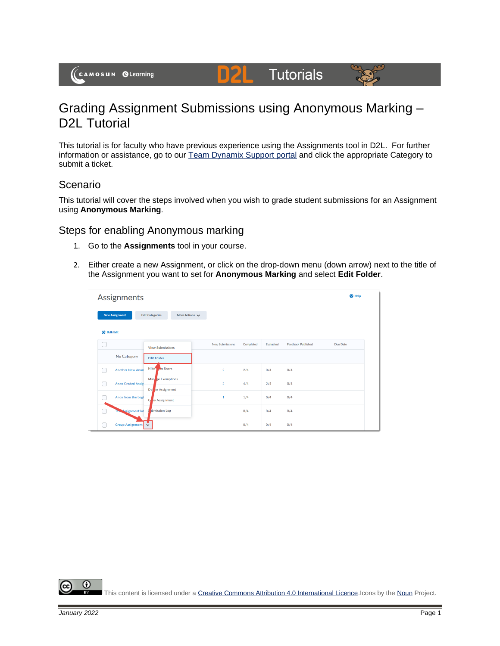# **Tutorials**



## Grading Assignment Submissions using Anonymous Marking – D<sub>2</sub>L Tutorial

DŽ

This tutorial is for faculty who have previous experience using the Assignments tool in D2L. For further information or assistance, go to our [Team Dynamix Support portal](https://camosun.teamdynamix.com/TDClient/67/Portal/Requests/ServiceCatalog?CategoryID=523) and click the appropriate Category to submit a ticket.

### Scenario

This tutorial will cover the steps involved when you wish to grade student submissions for an Assignment using **Anonymous Marking**.

### Steps for enabling Anonymous marking

- 1. Go to the **Assignments** tool in your course.
- 2. Either create a new Assignment, or click on the drop-down menu (down arrow) next to the title of the Assignment you want to set for **Anonymous Marking** and select **Edit Folder**.

|                  | $\bullet$ Help<br>Assignments |                                          |                        |           |           |                           |          |  |  |
|------------------|-------------------------------|------------------------------------------|------------------------|-----------|-----------|---------------------------|----------|--|--|
|                  | <b>New Assignment</b>         | <b>Edit Categories</b><br>More Actions V |                        |           |           |                           |          |  |  |
| <b>Bulk Edit</b> |                               |                                          |                        |           |           |                           |          |  |  |
|                  |                               | <b>View Submissions</b>                  | <b>New Submissions</b> | Completed | Evaluated | <b>Feedback Published</b> | Due Date |  |  |
|                  | No Category                   | <b>Edit Folder</b>                       |                        |           |           |                           |          |  |  |
|                  | <b>Another New Anon</b>       | Hide 1 om Users                          | $\overline{2}$         | 2/4       | 0/4       | 0/4                       |          |  |  |
|                  | <b>Anon Graded Assig</b>      | Man ze Exemptions<br>De te Assignment    | $\overline{2}$         | 4/4       | 2/4       | 0/4                       |          |  |  |
|                  | Anon from the begi            | C<br>by Assignment                       | $\mathbf{1}$           | 1/4       | 0/4       | 0/4                       |          |  |  |
|                  | Test Assignment Inf           | bmission Log                             |                        | 0/4       | 0/4       | 0/4                       |          |  |  |
|                  | Group Assignment v            |                                          |                        | 0/4       | 0/4       | 0/4                       |          |  |  |

0

This content is licensed under [a Creative Commons Attribution 4.0 International Licence.I](https://creativecommons.org/licenses/by/4.0/)cons by th[e Noun](https://creativecommons.org/website-icons/) Project.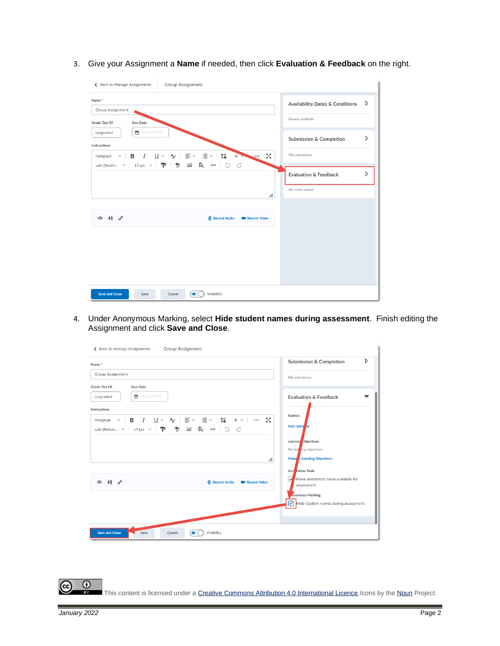3. Give your Assignment a **Name** if needed, then click **Evaluation & Feedback** on the right.

| <b>Group Assignment</b><br>← Back to Manage Assignments                                                               |                                            |   |
|-----------------------------------------------------------------------------------------------------------------------|--------------------------------------------|---|
| Name*<br><b>Group Assignment</b>                                                                                      | <b>Availability Dates &amp; Conditions</b> | D |
| <b>Grade Out Of</b><br><b>Due Date</b>                                                                                | Always available                           |   |
| ■ M/D/YYYY<br>Ungraded<br><b>Instructions</b>                                                                         | <b>Submission &amp; Completion</b>         | D |
| 5g<br>$+$<br>Paragraph<br>$\checkmark$<br>$\cdots$<br>$ 17.1px \times  P $ $\% \cong R \times 0$ 0 0<br>Lato (Recom ~ | File submission                            |   |
|                                                                                                                       | <b>Evaluation &amp; Feedback</b>           | D |
| h.                                                                                                                    | No rubric added                            |   |
| $\Leftrightarrow$ 48 $o^{\circ}$<br>Record Audio<br><b>B</b> Record Video                                             |                                            |   |
| Visibility<br><b>Save and Close</b><br>$\bullet$<br>Save<br>Cancel                                                    |                                            |   |

4. Under Anonymous Marking, select **Hide student names during assessment**. Finish editing the Assignment and click **Save and Close**.

| Name*                   |                 |                                                                                                              |              |                                                                                                                 |                        |    |         | <b>Submission &amp; Completion</b>                           | D |
|-------------------------|-----------------|--------------------------------------------------------------------------------------------------------------|--------------|-----------------------------------------------------------------------------------------------------------------|------------------------|----|---------|--------------------------------------------------------------|---|
| <b>Group Assignment</b> |                 |                                                                                                              |              |                                                                                                                 |                        |    |         | File submission                                              |   |
| <b>Grade Out Of</b>     | <b>Due Date</b> |                                                                                                              |              |                                                                                                                 |                        |    |         |                                                              |   |
| Ungraded                | ■ M/D/YYYY      |                                                                                                              |              |                                                                                                                 |                        |    |         | <b>Evaluation &amp; Feedback</b>                             |   |
| Instructions            |                 |                                                                                                              |              |                                                                                                                 |                        |    |         |                                                              |   |
| Paragraph<br>$\sim$     |                 | B <i>I</i> U > Ay   三 > 三 >                                                                                  |              | $\frac{1}{2}$ $\frac{1}{2}$ $\frac{1}{2}$ $\frac{1}{2}$ $\frac{1}{2}$ $\frac{1}{2}$ $\frac{1}{2}$ $\frac{1}{2}$ | $\cdots$               | Бð | Rubrics |                                                              |   |
| Lato (Recom v           | $17.1px \sim$   | $\mathbb{P} \setminus \mathbb{P} \cong \mathbb{R}$ $\rightsquigarrow$ $\circlearrowright$ $\circlearrowleft$ |              |                                                                                                                 |                        |    |         | Add rubrid                                                   |   |
|                         |                 |                                                                                                              |              |                                                                                                                 |                        |    |         | Learning Objectives                                          |   |
|                         |                 |                                                                                                              |              |                                                                                                                 |                        |    |         | No lear ing objectives                                       |   |
|                         |                 |                                                                                                              |              |                                                                                                                 |                        | h. |         | Mana e Learning Objectives                                   |   |
|                         |                 |                                                                                                              |              |                                                                                                                 |                        |    |         | Ann tation Tools                                             |   |
| 48e<br>4                |                 |                                                                                                              | Record Audio |                                                                                                                 | <b>EX Record Video</b> |    | ◡       | Make annotation tools available for<br>assessment            |   |
|                         |                 |                                                                                                              |              |                                                                                                                 |                        |    |         | <b>Jonymous Marking</b>                                      |   |
|                         |                 |                                                                                                              |              |                                                                                                                 |                        |    |         | $\boxed{\triangledown}$ Hide student names during assessment |   |
|                         |                 |                                                                                                              |              |                                                                                                                 |                        |    |         |                                                              |   |
|                         |                 |                                                                                                              |              |                                                                                                                 |                        |    |         |                                                              |   |

This content is licensed under [a Creative Commons Attribution 4.0 International Licence.I](https://creativecommons.org/licenses/by/4.0/)cons by th[e Noun](https://creativecommons.org/website-icons/) Project.

(cc

 $\overline{\odot}$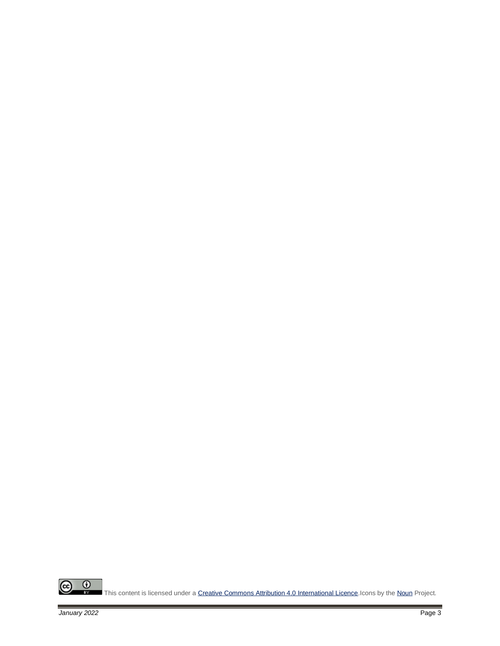

This content is licensed under [a Creative Commons Attribution 4.0 International Licence.I](https://creativecommons.org/licenses/by/4.0/)cons by th[e Noun](https://creativecommons.org/website-icons/) Project.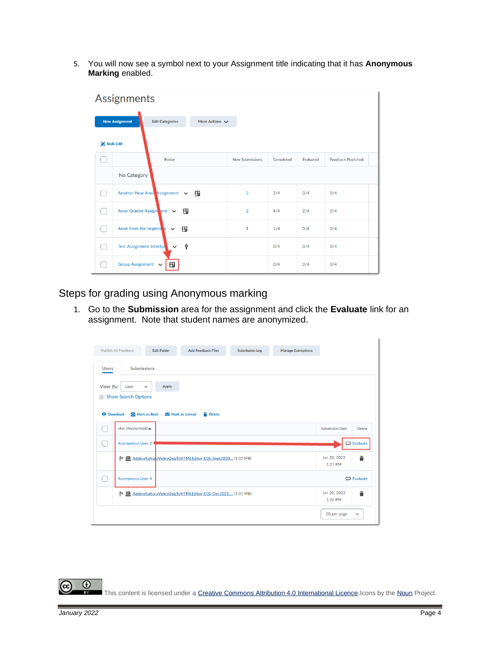5. You will now see a symbol next to your Assignment title indicating that it has **Anonymous Marking** enabled.

| Assignments      |                                                                        |                        |           |           |                           |  |  |  |  |  |  |
|------------------|------------------------------------------------------------------------|------------------------|-----------|-----------|---------------------------|--|--|--|--|--|--|
|                  | <b>New Assignment</b><br>More Actions $\vee$<br><b>Edit Categories</b> |                        |           |           |                           |  |  |  |  |  |  |
| <b>Bulk Edit</b> |                                                                        |                        |           |           |                           |  |  |  |  |  |  |
|                  | Folder                                                                 | <b>New Submissions</b> | Completed | Evaluated | <b>Feedback Published</b> |  |  |  |  |  |  |
|                  | No Category                                                            |                        |           |           |                           |  |  |  |  |  |  |
|                  | Another New Anon Assignment v<br>田                                     | $\overline{2}$         | 2/4       | 0/4       | 0/4                       |  |  |  |  |  |  |
|                  | Anon Graded Assign ent v<br>B.                                         | $\overline{2}$         | 4/4       | 2/4       | 0/4                       |  |  |  |  |  |  |
|                  | Anon from the beginning<br>Ŧ<br>$\checkmark$                           | $\mathbf{1}$           | 1/4       | 0/4       | 0/4                       |  |  |  |  |  |  |
|                  | Ŷ<br><b>Test Assignment Interfact</b><br>$\checkmark$                  |                        | 0/4       | 0/4       | 0/4                       |  |  |  |  |  |  |
|                  | <b>Group Assignment</b><br>田<br>$\checkmark$                           |                        | 0/4       | 0/4       | 0/4                       |  |  |  |  |  |  |

Steps for grading using Anonymous marking

1. Go to the **Submission** area for the assignment and click the **Evaluate** link for an assignment. Note that student names are anonymized.

|                                              | Publish All Feedback                                              | <b>Edit Folder</b>      | <b>Add Feedback Files</b>                                 | <b>Submission Log</b> | <b>Manage Exemptions</b> |                         |                   |
|----------------------------------------------|-------------------------------------------------------------------|-------------------------|-----------------------------------------------------------|-----------------------|--------------------------|-------------------------|-------------------|
| <b>Users</b>                                 | <b>Submissions</b>                                                |                         |                                                           |                       |                          |                         |                   |
| View By:<br>$\boxtimes$<br><b>O</b> Download | User<br>$\check{~}$<br><b>Show Search Options</b><br>Mark as Read | Apply<br>Mark as Unread | <b>Delete</b>                                             |                       |                          |                         |                   |
|                                              | User (Anonymized) ▲                                               |                         |                                                           |                       |                          | <b>Submission Date</b>  | <b>Delete</b>     |
|                                              | Anonymous User 2                                                  |                         |                                                           |                       |                          |                         | <b>D</b> Evaluate |
|                                              | Þ                                                                 |                         | AddingKalturaVideoQuizToHTMLEditor-D2L-Sept2020 (1.02 MB) |                       |                          | Jan 20, 2022<br>1:27 PM | Ê                 |
|                                              | <b>Anonymous User 4</b>                                           |                         |                                                           |                       |                          |                         | $\Box$ Evaluate   |
|                                              | Þ                                                                 |                         | AddingKalturaVideoQuizToHTMLEditor-D2L-Dec2021 (1.01 MB)  |                       |                          | Jan 20, 2022<br>1:26 PM | 言                 |
|                                              |                                                                   |                         |                                                           |                       |                          | 20 per page             | $\check{~}$       |

 $\odot$ This content is licensed under [a Creative Commons Attribution 4.0 International Licence.I](https://creativecommons.org/licenses/by/4.0/)cons by th[e Noun](https://creativecommons.org/website-icons/) Project.